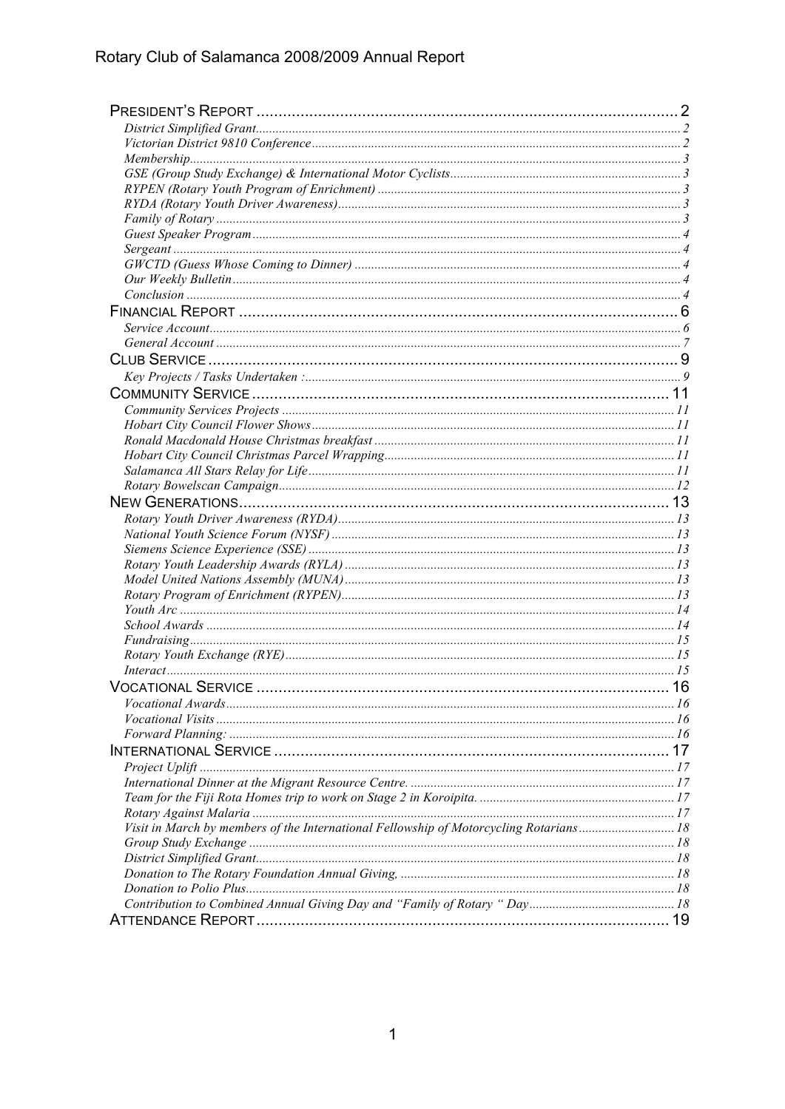| Visit in March by members of the International Fellowship of Motorcycling Rotarians18 |  |
|---------------------------------------------------------------------------------------|--|
|                                                                                       |  |
|                                                                                       |  |
|                                                                                       |  |
|                                                                                       |  |
|                                                                                       |  |
|                                                                                       |  |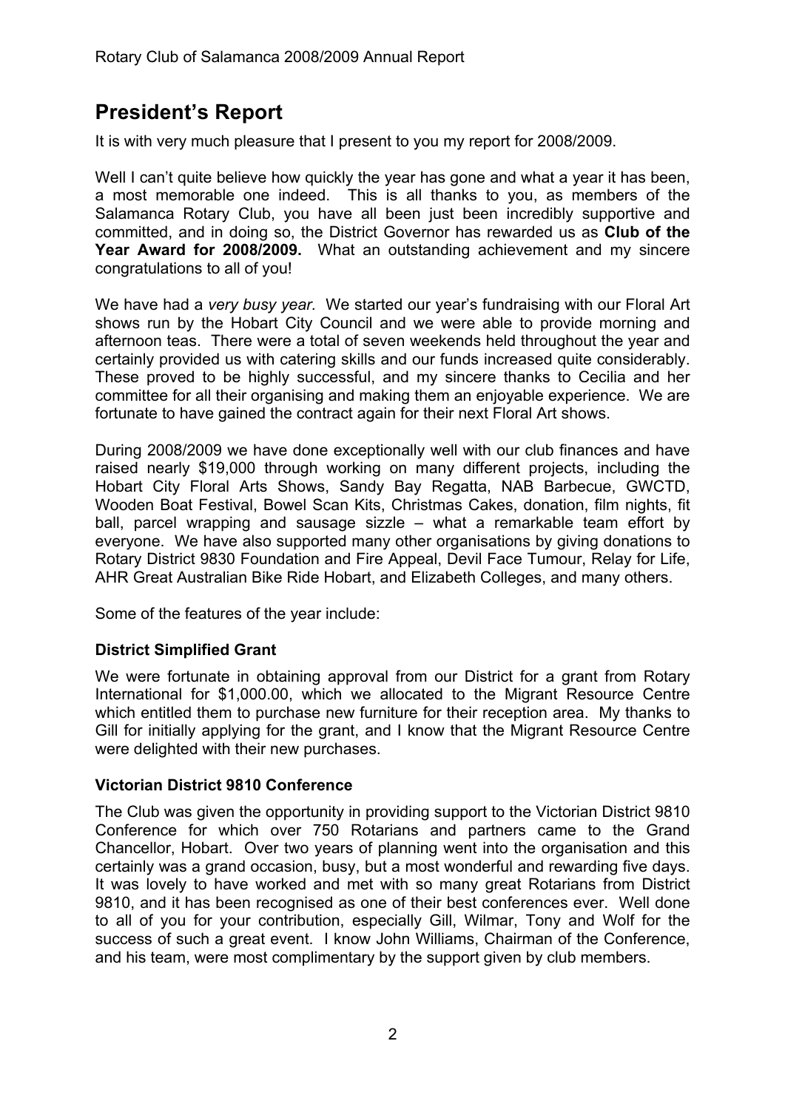# **President's Report**

It is with very much pleasure that I present to you my report for 2008/2009.

Well I can't quite believe how quickly the year has gone and what a year it has been, a most memorable one indeed. This is all thanks to you, as members of the Salamanca Rotary Club, you have all been just been incredibly supportive and committed, and in doing so, the District Governor has rewarded us as **Club of the Year Award for 2008/2009.** What an outstanding achievement and my sincere congratulations to all of you!

We have had a *very busy year.* We started our year's fundraising with our Floral Art shows run by the Hobart City Council and we were able to provide morning and afternoon teas. There were a total of seven weekends held throughout the year and certainly provided us with catering skills and our funds increased quite considerably. These proved to be highly successful, and my sincere thanks to Cecilia and her committee for all their organising and making them an enjoyable experience. We are fortunate to have gained the contract again for their next Floral Art shows.

During 2008/2009 we have done exceptionally well with our club finances and have raised nearly \$19,000 through working on many different projects, including the Hobart City Floral Arts Shows, Sandy Bay Regatta, NAB Barbecue, GWCTD, Wooden Boat Festival, Bowel Scan Kits, Christmas Cakes, donation, film nights, fit ball, parcel wrapping and sausage sizzle – what a remarkable team effort by everyone. We have also supported many other organisations by giving donations to Rotary District 9830 Foundation and Fire Appeal, Devil Face Tumour, Relay for Life, AHR Great Australian Bike Ride Hobart, and Elizabeth Colleges, and many others.

Some of the features of the year include:

# **District Simplified Grant**

We were fortunate in obtaining approval from our District for a grant from Rotary International for \$1,000.00, which we allocated to the Migrant Resource Centre which entitled them to purchase new furniture for their reception area. My thanks to Gill for initially applying for the grant, and I know that the Migrant Resource Centre were delighted with their new purchases.

#### **Victorian District 9810 Conference**

The Club was given the opportunity in providing support to the Victorian District 9810 Conference for which over 750 Rotarians and partners came to the Grand Chancellor, Hobart. Over two years of planning went into the organisation and this certainly was a grand occasion, busy, but a most wonderful and rewarding five days. It was lovely to have worked and met with so many great Rotarians from District 9810, and it has been recognised as one of their best conferences ever. Well done to all of you for your contribution, especially Gill, Wilmar, Tony and Wolf for the success of such a great event. I know John Williams, Chairman of the Conference, and his team, were most complimentary by the support given by club members.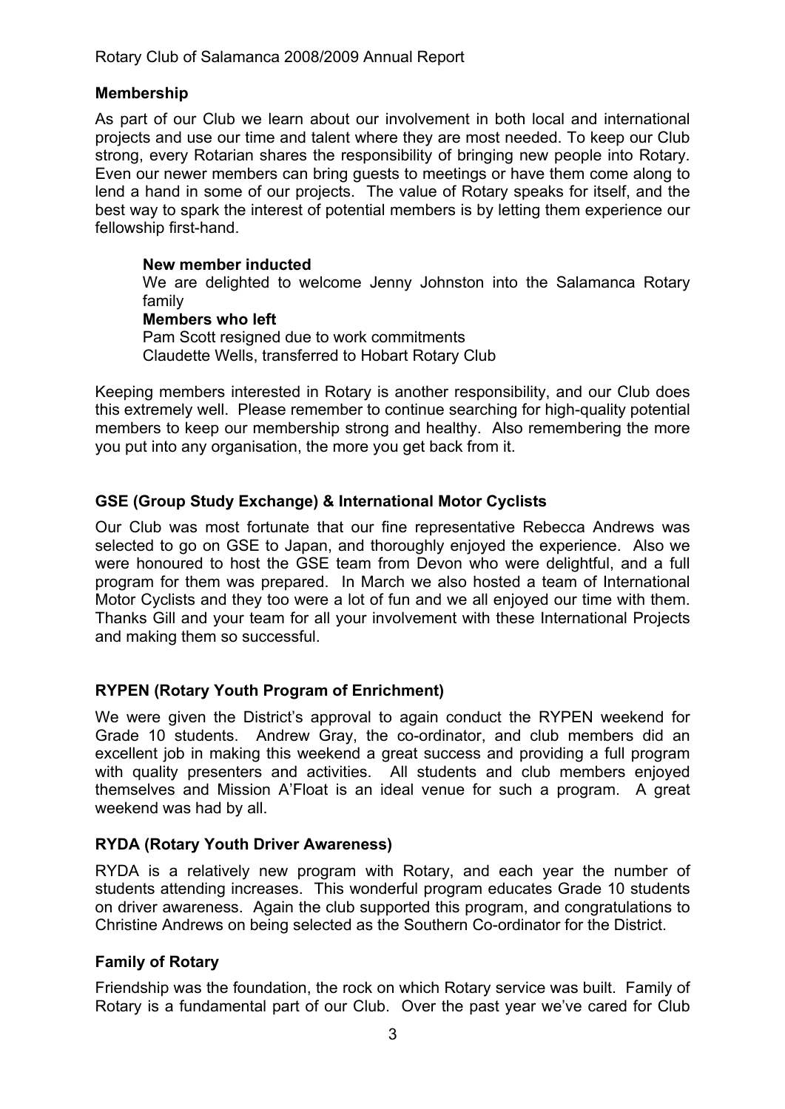### **Membership**

As part of our Club we learn about our involvement in both local and international projects and use our time and talent where they are most needed. To keep our Club strong, every Rotarian shares the responsibility of bringing new people into Rotary. Even our newer members can bring guests to meetings or have them come along to lend a hand in some of our projects. The value of Rotary speaks for itself, and the best way to spark the interest of potential members is by letting them experience our fellowship first-hand.

### **New member inducted**

We are delighted to welcome Jenny Johnston into the Salamanca Rotary family

#### **Members who left** Pam Scott resigned due to work commitments Claudette Wells, transferred to Hobart Rotary Club

Keeping members interested in Rotary is another responsibility, and our Club does this extremely well. Please remember to continue searching for high-quality potential members to keep our membership strong and healthy. Also remembering the more you put into any organisation, the more you get back from it.

# **GSE (Group Study Exchange) & International Motor Cyclists**

Our Club was most fortunate that our fine representative Rebecca Andrews was selected to go on GSE to Japan, and thoroughly enjoyed the experience. Also we were honoured to host the GSE team from Devon who were delightful, and a full program for them was prepared. In March we also hosted a team of International Motor Cyclists and they too were a lot of fun and we all enjoyed our time with them. Thanks Gill and your team for all your involvement with these International Projects and making them so successful.

# **RYPEN (Rotary Youth Program of Enrichment)**

We were given the District's approval to again conduct the RYPEN weekend for Grade 10 students. Andrew Gray, the co-ordinator, and club members did an excellent job in making this weekend a great success and providing a full program with quality presenters and activities. All students and club members enjoyed themselves and Mission A'Float is an ideal venue for such a program. A great weekend was had by all.

# **RYDA (Rotary Youth Driver Awareness)**

RYDA is a relatively new program with Rotary, and each year the number of students attending increases. This wonderful program educates Grade 10 students on driver awareness. Again the club supported this program, and congratulations to Christine Andrews on being selected as the Southern Co-ordinator for the District.

# **Family of Rotary**

Friendship was the foundation, the rock on which Rotary service was built. Family of Rotary is a fundamental part of our Club. Over the past year we've cared for Club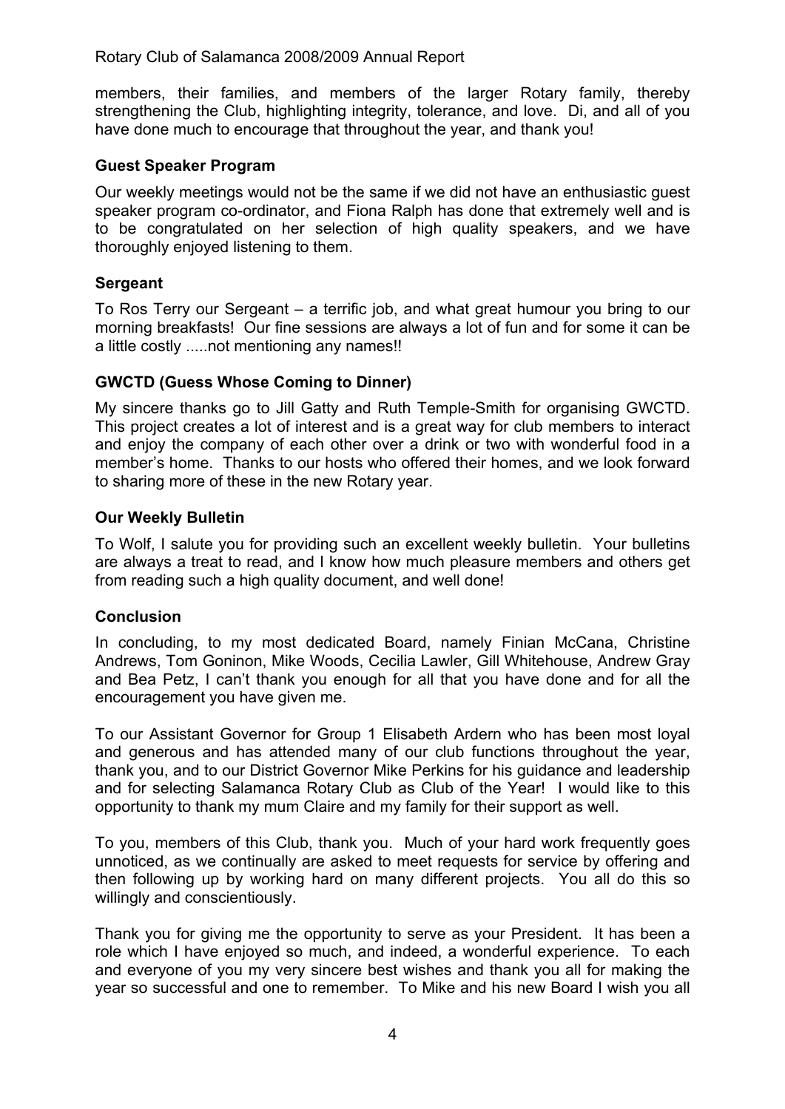members, their families, and members of the larger Rotary family, thereby strengthening the Club, highlighting integrity, tolerance, and love. Di, and all of you have done much to encourage that throughout the year, and thank you!

### **Guest Speaker Program**

Our weekly meetings would not be the same if we did not have an enthusiastic guest speaker program co-ordinator, and Fiona Ralph has done that extremely well and is to be congratulated on her selection of high quality speakers, and we have thoroughly enjoyed listening to them.

### **Sergeant**

To Ros Terry our Sergeant – a terrific job, and what great humour you bring to our morning breakfasts! Our fine sessions are always a lot of fun and for some it can be a little costly .....not mentioning any names!!

### **GWCTD (Guess Whose Coming to Dinner)**

My sincere thanks go to Jill Gatty and Ruth Temple-Smith for organising GWCTD. This project creates a lot of interest and is a great way for club members to interact and enjoy the company of each other over a drink or two with wonderful food in a member's home. Thanks to our hosts who offered their homes, and we look forward to sharing more of these in the new Rotary year.

### **Our Weekly Bulletin**

To Wolf, I salute you for providing such an excellent weekly bulletin. Your bulletins are always a treat to read, and I know how much pleasure members and others get from reading such a high quality document, and well done!

#### **Conclusion**

In concluding, to my most dedicated Board, namely Finian McCana, Christine Andrews, Tom Goninon, Mike Woods, Cecilia Lawler, Gill Whitehouse, Andrew Gray and Bea Petz, I can't thank you enough for all that you have done and for all the encouragement you have given me.

To our Assistant Governor for Group 1 Elisabeth Ardern who has been most loyal and generous and has attended many of our club functions throughout the year, thank you, and to our District Governor Mike Perkins for his guidance and leadership and for selecting Salamanca Rotary Club as Club of the Year! I would like to this opportunity to thank my mum Claire and my family for their support as well.

To you, members of this Club, thank you. Much of your hard work frequently goes unnoticed, as we continually are asked to meet requests for service by offering and then following up by working hard on many different projects. You all do this so willingly and conscientiously.

Thank you for giving me the opportunity to serve as your President. It has been a role which I have enjoyed so much, and indeed, a wonderful experience. To each and everyone of you my very sincere best wishes and thank you all for making the year so successful and one to remember. To Mike and his new Board I wish you all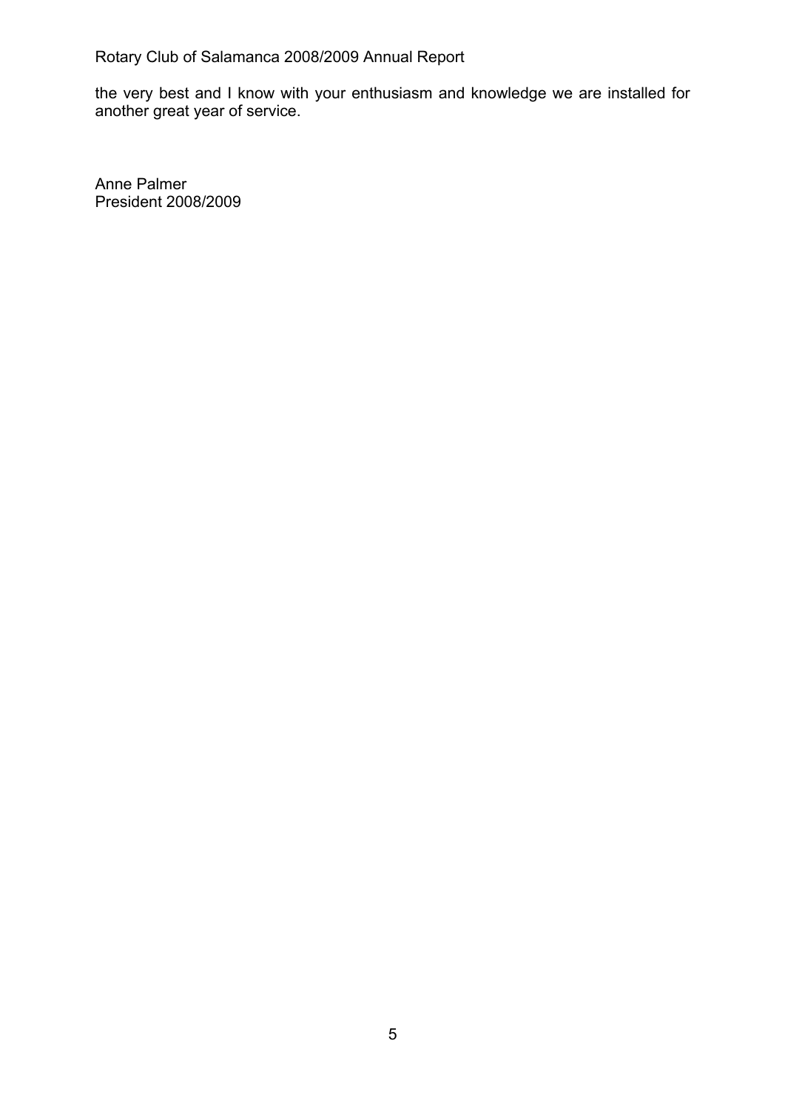the very best and I know with your enthusiasm and knowledge we are installed for another great year of service.

Anne Palmer President 2008/2009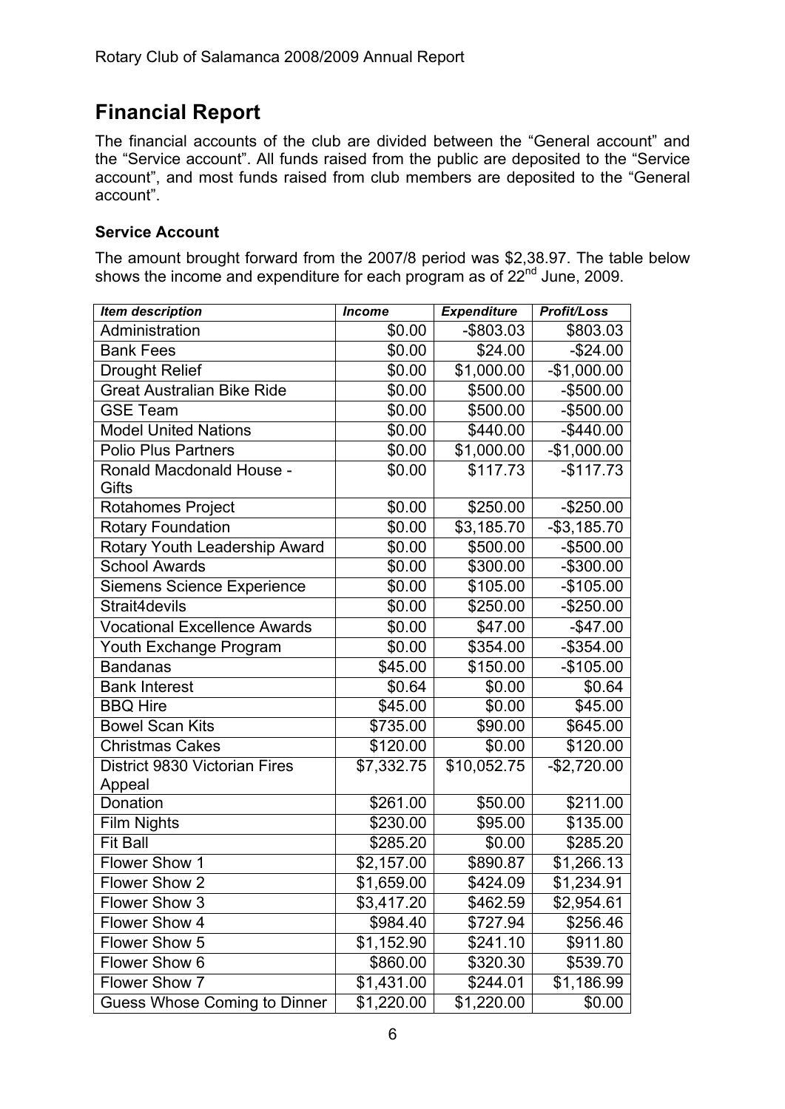# **Financial Report**

The financial accounts of the club are divided between the "General account" and the "Service account". All funds raised from the public are deposited to the "Service account", and most funds raised from club members are deposited to the "General account".

# **Service Account**

The amount brought forward from the 2007/8 period was \$2,38.97. The table below shows the income and expenditure for each program as of 22<sup>nd</sup> June, 2009.

| <b>Item description</b>                  | <b>Income</b> | <b>Expenditure</b> | <b>Profit/Loss</b> |
|------------------------------------------|---------------|--------------------|--------------------|
| Administration                           | \$0.00        | $-$ \$803.03       | \$803.03           |
| <b>Bank Fees</b>                         | \$0.00        | \$24.00            | $-$24.00$          |
| <b>Drought Relief</b>                    | \$0.00        | \$1,000.00         | $-$1,000.00$       |
| <b>Great Australian Bike Ride</b>        | \$0.00        | \$500.00           | $-$500.00$         |
| <b>GSE Team</b>                          | \$0.00        | \$500.00           | $-$500.00$         |
| <b>Model United Nations</b>              | \$0.00        | \$440.00           | $-$440.00$         |
| <b>Polio Plus Partners</b>               | \$0.00        | \$1,000.00         | $-$1,000.00$       |
| <b>Ronald Macdonald House -</b><br>Gifts | \$0.00        | \$117.73           | $-$117.73$         |
| Rotahomes Project                        | \$0.00        | \$250.00           | $-$250.00$         |
| <b>Rotary Foundation</b>                 | \$0.00        | \$3,185.70         | $-$3,185.70$       |
| Rotary Youth Leadership Award            | \$0.00        | \$500.00           | $-$500.00$         |
| <b>School Awards</b>                     | \$0.00        | \$300.00           | $-$300.00$         |
| <b>Siemens Science Experience</b>        | \$0.00        | \$105.00           | $-$105.00$         |
| Strait4devils                            | \$0.00        | \$250.00           | $-$250.00$         |
| <b>Vocational Excellence Awards</b>      | \$0.00        | \$47.00            | $-$47.00$          |
| Youth Exchange Program                   | \$0.00        | \$354.00           | $-$354.00$         |
| <b>Bandanas</b>                          | \$45.00       | \$150.00           | $-$105.00$         |
| <b>Bank Interest</b>                     | \$0.64        | \$0.00             | \$0.64             |
| <b>BBQ Hire</b>                          | \$45.00       | \$0.00             | \$45.00            |
| <b>Bowel Scan Kits</b>                   | \$735.00      | \$90.00            | \$645.00           |
| <b>Christmas Cakes</b>                   | \$120.00      | \$0.00             | \$120.00           |
| District 9830 Victorian Fires<br>Appeal  | \$7,332.75    | \$10,052.75        | $-$2,720.00$       |
| Donation                                 | \$261.00      | \$50.00            | \$211.00           |
| <b>Film Nights</b>                       | \$230.00      | \$95.00            | \$135.00           |
| <b>Fit Ball</b>                          | \$285.20      | \$0.00             | \$285.20           |
| <b>Flower Show 1</b>                     | \$2,157.00    | \$890.87           | \$1,266.13         |
| Flower Show 2                            | \$1,659.00    | \$424.09           | \$1,234.91         |
| Flower Show 3                            | \$3,417.20    | \$462.59           | \$2,954.61         |
| Flower Show 4                            | \$984.40      | \$727.94           | \$256.46           |
| Flower Show 5                            | \$1,152.90    | \$241.10           | \$911.80           |
| Flower Show 6                            | \$860.00      | \$320.30           | \$539.70           |
| Flower Show 7                            | \$1,431.00    | \$244.01           | \$1,186.99         |
| Guess Whose Coming to Dinner             | \$1,220.00    | \$1,220.00         | \$0.00             |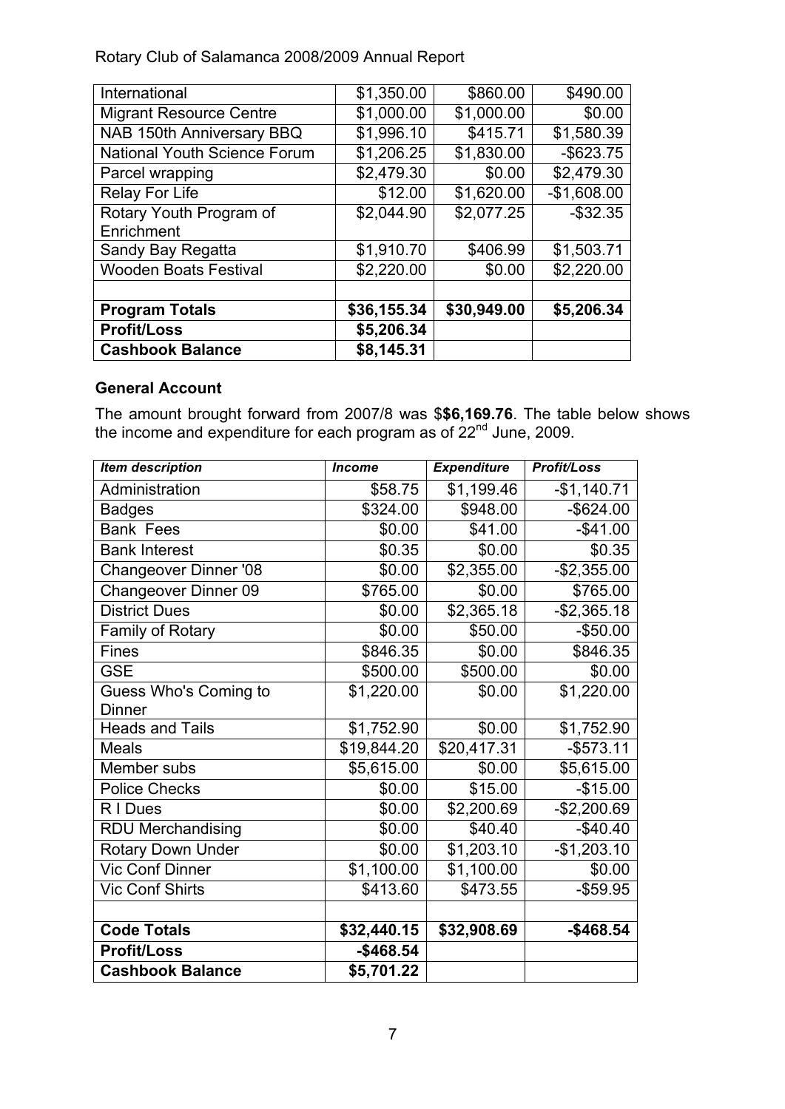| International                       | \$1,350.00  | \$860.00    | \$490.00     |
|-------------------------------------|-------------|-------------|--------------|
| <b>Migrant Resource Centre</b>      | \$1,000.00  | \$1,000.00  | \$0.00       |
| NAB 150th Anniversary BBQ           | \$1,996.10  | \$415.71    | \$1,580.39   |
| <b>National Youth Science Forum</b> | \$1,206.25  | \$1,830.00  | $-$ \$623.75 |
| Parcel wrapping                     | \$2,479.30  | \$0.00      | \$2,479.30   |
| <b>Relay For Life</b>               | \$12.00     | \$1,620.00  | $-$1,608.00$ |
| Rotary Youth Program of             | \$2,044.90  | \$2,077.25  | $-$ \$32.35  |
| Enrichment                          |             |             |              |
| Sandy Bay Regatta                   | \$1,910.70  | \$406.99    | \$1,503.71   |
| <b>Wooden Boats Festival</b>        | \$2,220.00  | \$0.00      | \$2,220.00   |
|                                     |             |             |              |
| <b>Program Totals</b>               | \$36,155.34 | \$30,949.00 | \$5,206.34   |
| <b>Profit/Loss</b>                  | \$5,206.34  |             |              |
| <b>Cashbook Balance</b>             | \$8,145.31  |             |              |

### **General Account**

The amount brought forward from 2007/8 was \$**\$6,169.76**. The table below shows the income and expenditure for each program as of 22<sup>nd</sup> June, 2009.

| <b>Item description</b>      | <b>Income</b> | <b>Expenditure</b> | Profit/Loss  |
|------------------------------|---------------|--------------------|--------------|
| Administration               | \$58.75       | \$1,199.46         | $-$1,140.71$ |
| <b>Badges</b>                | \$324.00      | \$948.00           | $-$ \$624.00 |
| <b>Bank Fees</b>             | \$0.00        | \$41.00            | $-$41.00$    |
| <b>Bank Interest</b>         | \$0.35        | \$0.00             | \$0.35       |
| <b>Changeover Dinner '08</b> | \$0.00        | \$2,355.00         | $-$2,355.00$ |
| <b>Changeover Dinner 09</b>  | \$765.00      | \$0.00             | \$765.00     |
| <b>District Dues</b>         | \$0.00        | \$2,365.18         | $-$2,365.18$ |
| Family of Rotary             | \$0.00        | \$50.00            | $-$50.00$    |
| <b>Fines</b>                 | \$846.35      | \$0.00             | \$846.35     |
| <b>GSE</b>                   | \$500.00      | \$500.00           | \$0.00       |
| Guess Who's Coming to        | \$1,220.00    | \$0.00             | \$1,220.00   |
| <b>Dinner</b>                |               |                    |              |
| <b>Heads and Tails</b>       | \$1,752.90    | \$0.00             | \$1,752.90   |
| <b>Meals</b>                 | \$19,844.20   | \$20,417.31        | $-$573.11$   |
| Member subs                  | \$5,615.00    | \$0.00             | \$5,615.00   |
| <b>Police Checks</b>         | \$0.00        | \$15.00            | $-$15.00$    |
| R I Dues                     | \$0.00        | \$2,200.69         | $-$2,200.69$ |
| <b>RDU Merchandising</b>     | \$0.00        | \$40.40            | $-$40.40$    |
| Rotary Down Under            | \$0.00        | \$1,203.10         | $-$1,203.10$ |
| <b>Vic Conf Dinner</b>       | \$1,100.00    | \$1,100.00         | \$0.00       |
| <b>Vic Conf Shirts</b>       | \$413.60      | \$473.55           | $-$ \$59.95  |
|                              |               |                    |              |
| <b>Code Totals</b>           | \$32,440.15   | \$32,908.69        | $-$ \$468.54 |
| <b>Profit/Loss</b>           | $-$ \$468.54  |                    |              |
| <b>Cashbook Balance</b>      | \$5,701.22    |                    |              |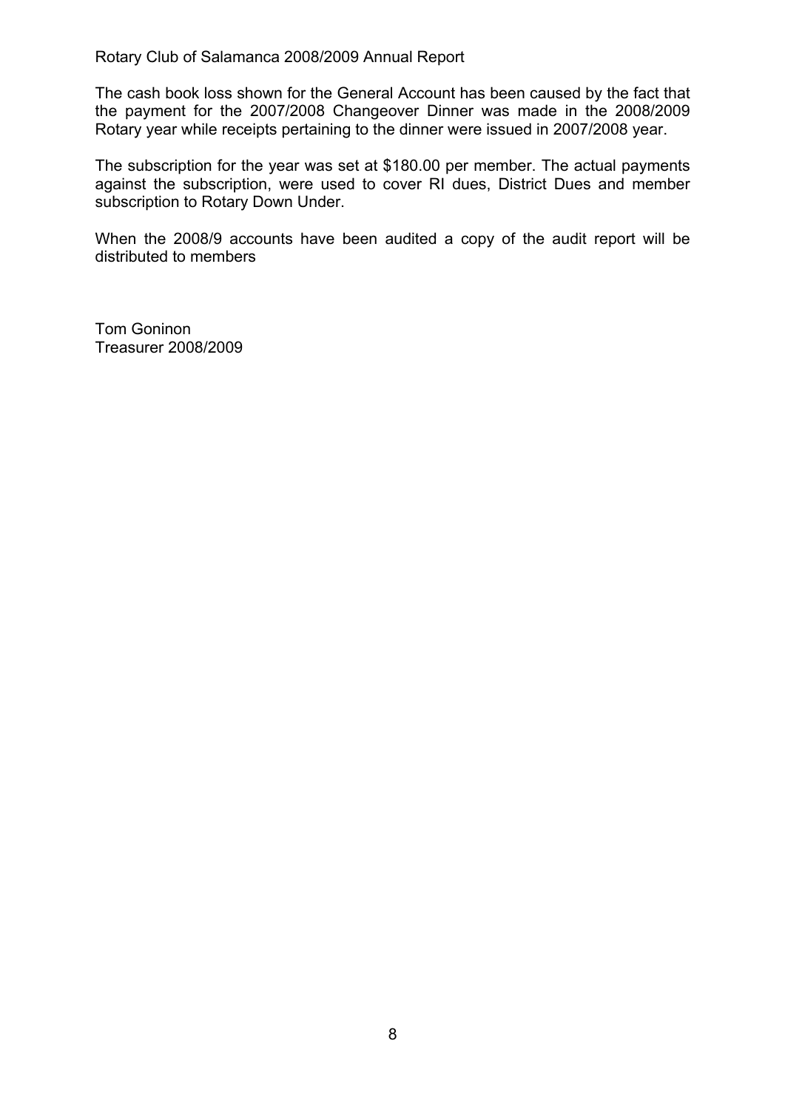The cash book loss shown for the General Account has been caused by the fact that the payment for the 2007/2008 Changeover Dinner was made in the 2008/2009 Rotary year while receipts pertaining to the dinner were issued in 2007/2008 year.

The subscription for the year was set at \$180.00 per member. The actual payments against the subscription, were used to cover RI dues, District Dues and member subscription to Rotary Down Under.

When the 2008/9 accounts have been audited a copy of the audit report will be distributed to members

Tom Goninon Treasurer 2008/2009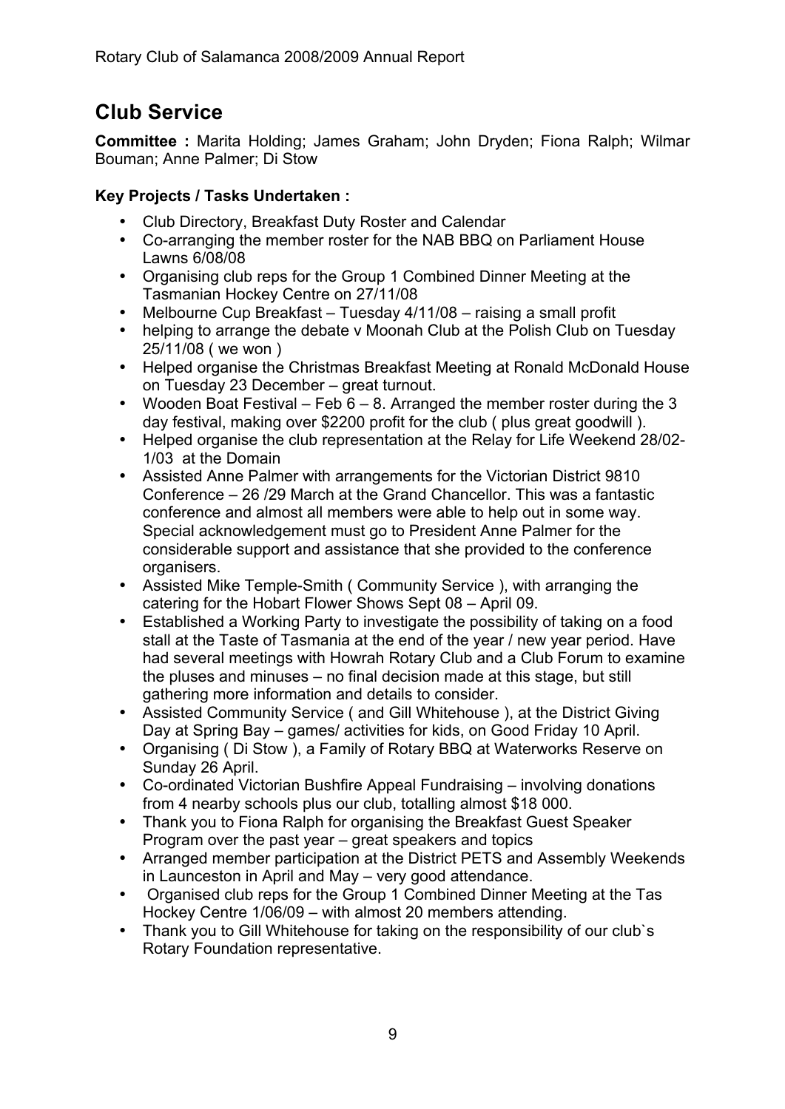# **Club Service**

**Committee :** Marita Holding; James Graham; John Dryden; Fiona Ralph; Wilmar Bouman; Anne Palmer; Di Stow

# **Key Projects / Tasks Undertaken :**

- Club Directory, Breakfast Duty Roster and Calendar
- Co-arranging the member roster for the NAB BBQ on Parliament House Lawns 6/08/08
- Organising club reps for the Group 1 Combined Dinner Meeting at the Tasmanian Hockey Centre on 27/11/08
- Melbourne Cup Breakfast Tuesday 4/11/08 raising a small profit
- helping to arrange the debate v Moonah Club at the Polish Club on Tuesday 25/11/08 ( we won )
- Helped organise the Christmas Breakfast Meeting at Ronald McDonald House on Tuesday 23 December – great turnout.
- Wooden Boat Festival Feb  $6 8$ . Arranged the member roster during the 3 day festival, making over \$2200 profit for the club ( plus great goodwill ).
- Helped organise the club representation at the Relay for Life Weekend 28/02- 1/03 at the Domain
- Assisted Anne Palmer with arrangements for the Victorian District 9810 Conference – 26 /29 March at the Grand Chancellor. This was a fantastic conference and almost all members were able to help out in some way. Special acknowledgement must go to President Anne Palmer for the considerable support and assistance that she provided to the conference organisers.
- Assisted Mike Temple-Smith ( Community Service ), with arranging the catering for the Hobart Flower Shows Sept 08 – April 09.
- Established a Working Party to investigate the possibility of taking on a food stall at the Taste of Tasmania at the end of the year / new year period. Have had several meetings with Howrah Rotary Club and a Club Forum to examine the pluses and minuses – no final decision made at this stage, but still gathering more information and details to consider.
- Assisted Community Service ( and Gill Whitehouse ), at the District Giving Day at Spring Bay – games/ activities for kids, on Good Friday 10 April.
- Organising ( Di Stow ), a Family of Rotary BBQ at Waterworks Reserve on Sunday 26 April.
- Co-ordinated Victorian Bushfire Appeal Fundraising involving donations from 4 nearby schools plus our club, totalling almost \$18 000.
- Thank you to Fiona Ralph for organising the Breakfast Guest Speaker Program over the past year – great speakers and topics
- Arranged member participation at the District PETS and Assembly Weekends in Launceston in April and May – very good attendance.
- Organised club reps for the Group 1 Combined Dinner Meeting at the Tas Hockey Centre 1/06/09 – with almost 20 members attending.
- Thank you to Gill Whitehouse for taking on the responsibility of our club`s Rotary Foundation representative.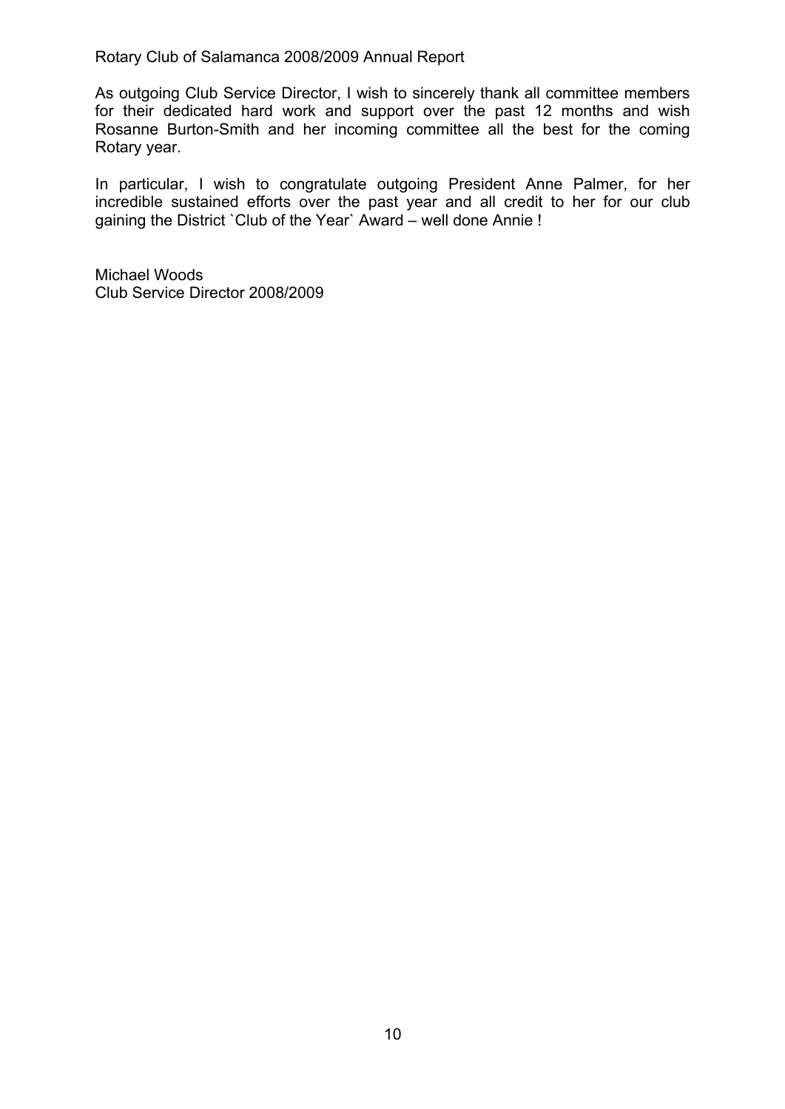As outgoing Club Service Director, I wish to sincerely thank all committee members for their dedicated hard work and support over the past 12 months and wish Rosanne Burton-Smith and her incoming committee all the best for the coming Rotary year.

In particular, I wish to congratulate outgoing President Anne Palmer, for her incredible sustained efforts over the past year and all credit to her for our club gaining the District `Club of the Year` Award – well done Annie !

Michael Woods Club Service Director 2008/2009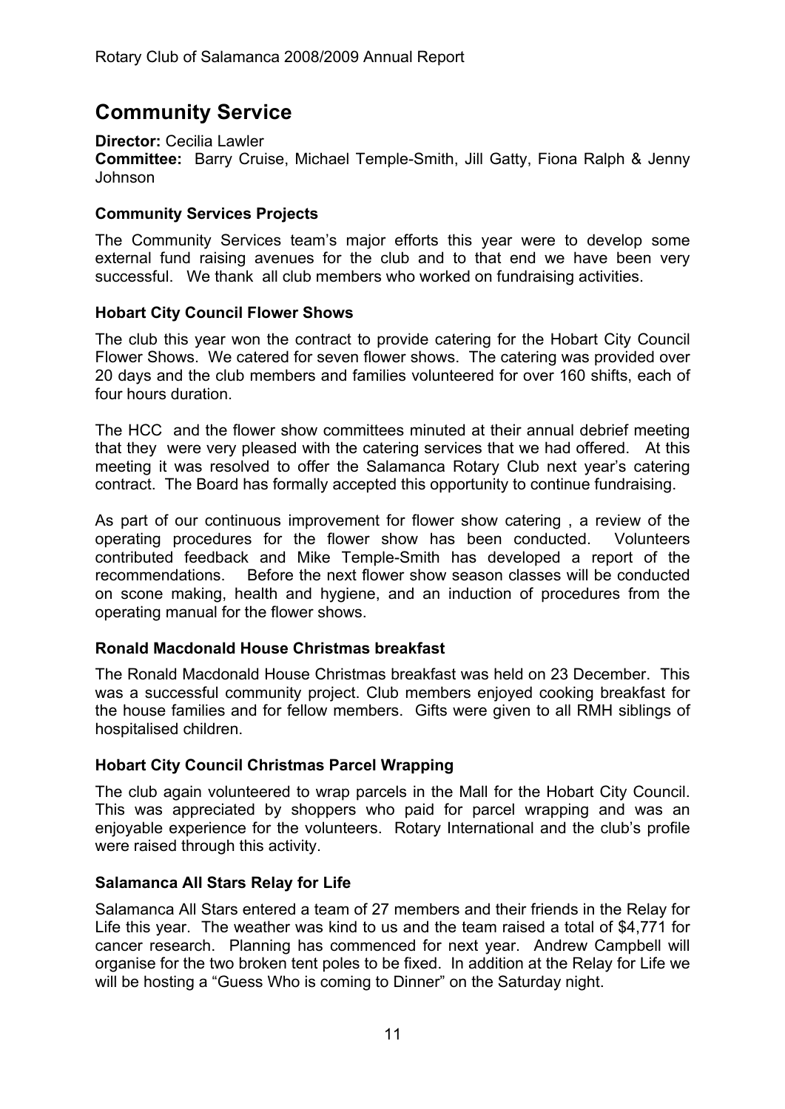# **Community Service**

**Director:** Cecilia Lawler

**Committee:** Barry Cruise, Michael Temple-Smith, Jill Gatty, Fiona Ralph & Jenny Johnson

# **Community Services Projects**

The Community Services team's major efforts this year were to develop some external fund raising avenues for the club and to that end we have been very successful. We thank all club members who worked on fundraising activities.

# **Hobart City Council Flower Shows**

The club this year won the contract to provide catering for the Hobart City Council Flower Shows. We catered for seven flower shows. The catering was provided over 20 days and the club members and families volunteered for over 160 shifts, each of four hours duration.

The HCC and the flower show committees minuted at their annual debrief meeting that they were very pleased with the catering services that we had offered. At this meeting it was resolved to offer the Salamanca Rotary Club next year's catering contract. The Board has formally accepted this opportunity to continue fundraising.

As part of our continuous improvement for flower show catering , a review of the operating procedures for the flower show has been conducted. Volunteers contributed feedback and Mike Temple-Smith has developed a report of the recommendations. Before the next flower show season classes will be conducted on scone making, health and hygiene, and an induction of procedures from the operating manual for the flower shows.

# **Ronald Macdonald House Christmas breakfast**

The Ronald Macdonald House Christmas breakfast was held on 23 December. This was a successful community project. Club members enjoyed cooking breakfast for the house families and for fellow members. Gifts were given to all RMH siblings of hospitalised children.

# **Hobart City Council Christmas Parcel Wrapping**

The club again volunteered to wrap parcels in the Mall for the Hobart City Council. This was appreciated by shoppers who paid for parcel wrapping and was an enjoyable experience for the volunteers. Rotary International and the club's profile were raised through this activity.

# **Salamanca All Stars Relay for Life**

Salamanca All Stars entered a team of 27 members and their friends in the Relay for Life this year. The weather was kind to us and the team raised a total of \$4,771 for cancer research. Planning has commenced for next year. Andrew Campbell will organise for the two broken tent poles to be fixed. In addition at the Relay for Life we will be hosting a "Guess Who is coming to Dinner" on the Saturday night.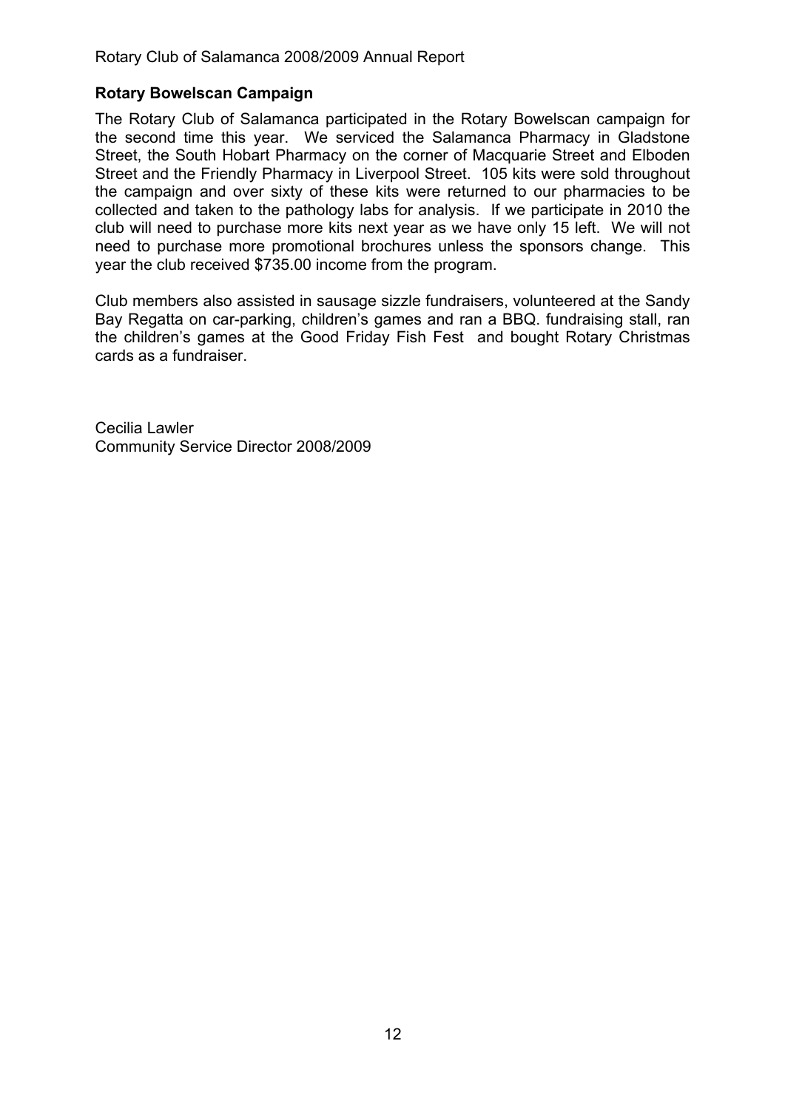### **Rotary Bowelscan Campaign**

The Rotary Club of Salamanca participated in the Rotary Bowelscan campaign for the second time this year. We serviced the Salamanca Pharmacy in Gladstone Street, the South Hobart Pharmacy on the corner of Macquarie Street and Elboden Street and the Friendly Pharmacy in Liverpool Street. 105 kits were sold throughout the campaign and over sixty of these kits were returned to our pharmacies to be collected and taken to the pathology labs for analysis. If we participate in 2010 the club will need to purchase more kits next year as we have only 15 left. We will not need to purchase more promotional brochures unless the sponsors change. This year the club received \$735.00 income from the program.

Club members also assisted in sausage sizzle fundraisers, volunteered at the Sandy Bay Regatta on car-parking, children's games and ran a BBQ. fundraising stall, ran the children's games at the Good Friday Fish Fest and bought Rotary Christmas cards as a fundraiser.

Cecilia Lawler Community Service Director 2008/2009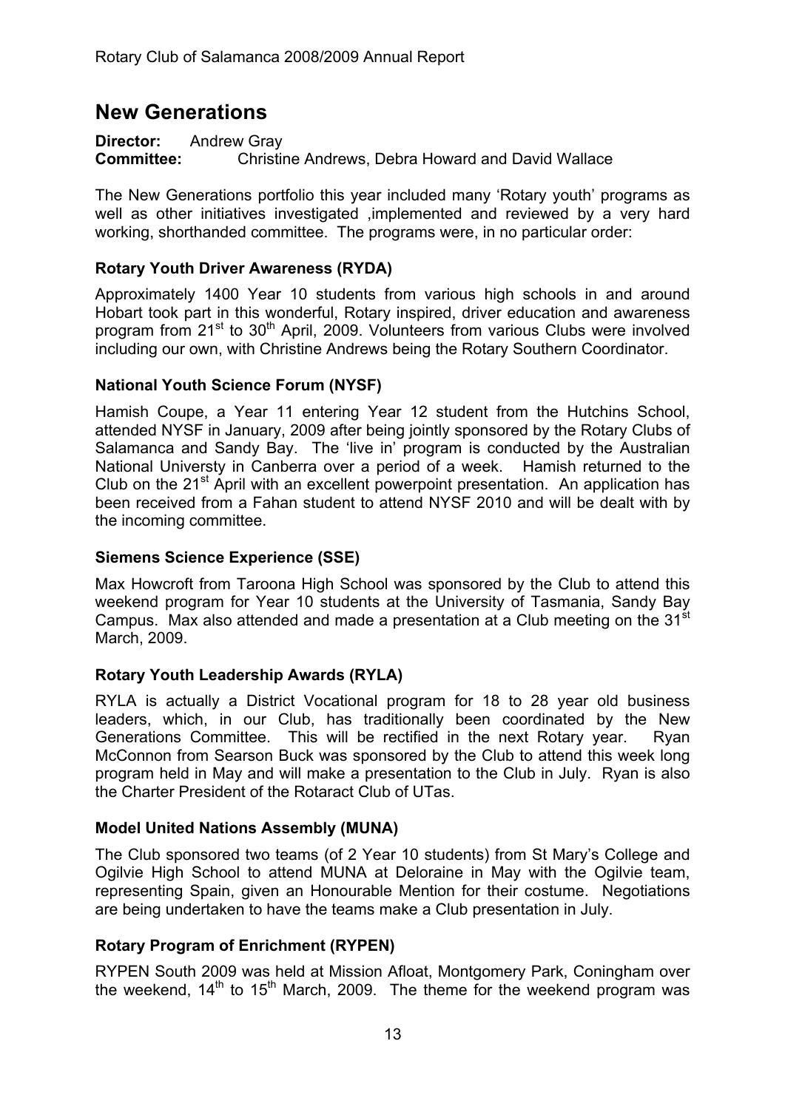# **New Generations**

**Director:** Andrew Gray **Committee:** Christine Andrews, Debra Howard and David Wallace

The New Generations portfolio this year included many 'Rotary youth' programs as well as other initiatives investigated ,implemented and reviewed by a very hard working, shorthanded committee. The programs were, in no particular order:

### **Rotary Youth Driver Awareness (RYDA)**

Approximately 1400 Year 10 students from various high schools in and around Hobart took part in this wonderful, Rotary inspired, driver education and awareness program from 21<sup>st</sup> to 30<sup>th</sup> April, 2009. Volunteers from various Clubs were involved including our own, with Christine Andrews being the Rotary Southern Coordinator.

### **National Youth Science Forum (NYSF)**

Hamish Coupe, a Year 11 entering Year 12 student from the Hutchins School, attended NYSF in January, 2009 after being jointly sponsored by the Rotary Clubs of Salamanca and Sandy Bay. The 'live in' program is conducted by the Australian National Universty in Canberra over a period of a week. Hamish returned to the Club on the  $21^{st}$  April with an excellent powerpoint presentation. An application has been received from a Fahan student to attend NYSF 2010 and will be dealt with by the incoming committee.

#### **Siemens Science Experience (SSE)**

Max Howcroft from Taroona High School was sponsored by the Club to attend this weekend program for Year 10 students at the University of Tasmania, Sandy Bay Campus. Max also attended and made a presentation at a Club meeting on the 31<sup>st</sup> March, 2009.

# **Rotary Youth Leadership Awards (RYLA)**

RYLA is actually a District Vocational program for 18 to 28 year old business leaders, which, in our Club, has traditionally been coordinated by the New Generations Committee. This will be rectified in the next Rotary year. Ryan McConnon from Searson Buck was sponsored by the Club to attend this week long program held in May and will make a presentation to the Club in July. Ryan is also the Charter President of the Rotaract Club of UTas.

#### **Model United Nations Assembly (MUNA)**

The Club sponsored two teams (of 2 Year 10 students) from St Mary's College and Ogilvie High School to attend MUNA at Deloraine in May with the Ogilvie team, representing Spain, given an Honourable Mention for their costume. Negotiations are being undertaken to have the teams make a Club presentation in July.

# **Rotary Program of Enrichment (RYPEN)**

RYPEN South 2009 was held at Mission Afloat, Montgomery Park, Coningham over the weekend,  $14<sup>th</sup>$  to  $15<sup>th</sup>$  March, 2009. The theme for the weekend program was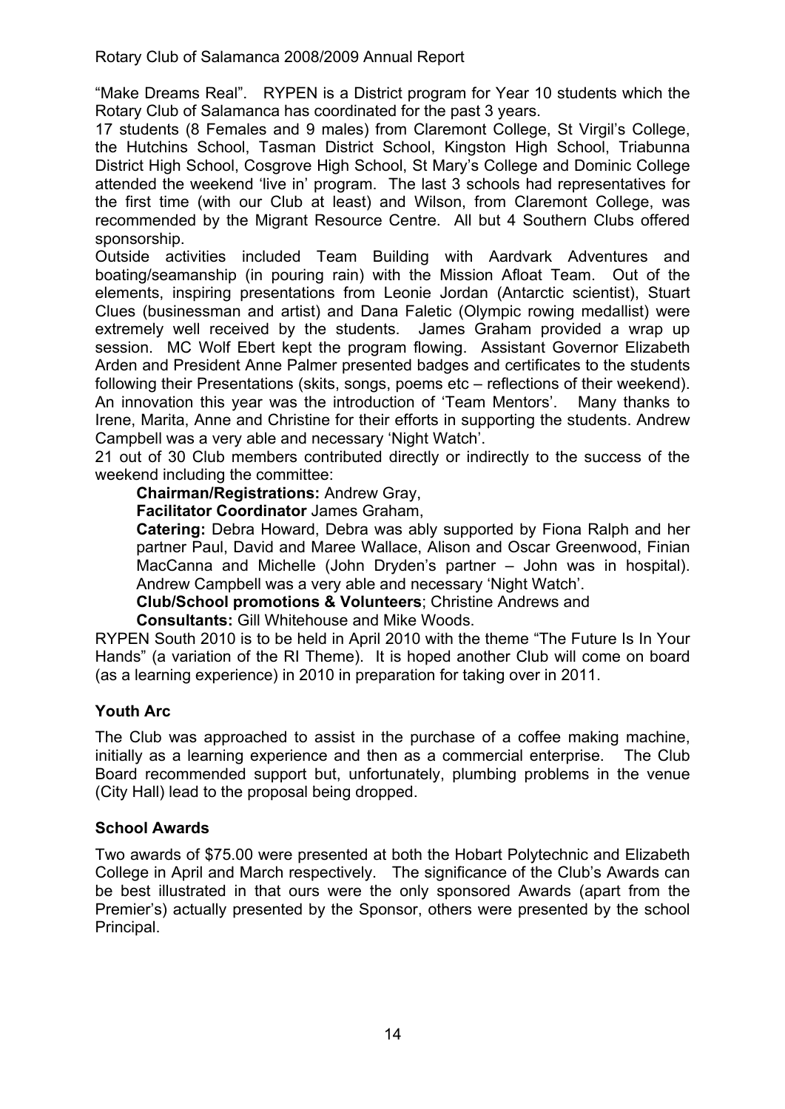"Make Dreams Real". RYPEN is a District program for Year 10 students which the Rotary Club of Salamanca has coordinated for the past 3 years.

17 students (8 Females and 9 males) from Claremont College, St Virgil's College, the Hutchins School, Tasman District School, Kingston High School, Triabunna District High School, Cosgrove High School, St Mary's College and Dominic College attended the weekend 'live in' program. The last 3 schools had representatives for the first time (with our Club at least) and Wilson, from Claremont College, was recommended by the Migrant Resource Centre. All but 4 Southern Clubs offered sponsorship.

Outside activities included Team Building with Aardvark Adventures and boating/seamanship (in pouring rain) with the Mission Afloat Team. Out of the elements, inspiring presentations from Leonie Jordan (Antarctic scientist), Stuart Clues (businessman and artist) and Dana Faletic (Olympic rowing medallist) were extremely well received by the students. James Graham provided a wrap up session. MC Wolf Ebert kept the program flowing. Assistant Governor Elizabeth Arden and President Anne Palmer presented badges and certificates to the students following their Presentations (skits, songs, poems etc – reflections of their weekend). An innovation this year was the introduction of 'Team Mentors'. Many thanks to Irene, Marita, Anne and Christine for their efforts in supporting the students. Andrew Campbell was a very able and necessary 'Night Watch'.

21 out of 30 Club members contributed directly or indirectly to the success of the weekend including the committee:

**Chairman/Registrations:** Andrew Gray,

**Facilitator Coordinator** James Graham,

**Catering:** Debra Howard, Debra was ably supported by Fiona Ralph and her partner Paul, David and Maree Wallace, Alison and Oscar Greenwood, Finian MacCanna and Michelle (John Dryden's partner – John was in hospital). Andrew Campbell was a very able and necessary 'Night Watch'.

**Club/School promotions & Volunteers**; Christine Andrews and

**Consultants:** Gill Whitehouse and Mike Woods.

RYPEN South 2010 is to be held in April 2010 with the theme "The Future Is In Your Hands" (a variation of the RI Theme). It is hoped another Club will come on board (as a learning experience) in 2010 in preparation for taking over in 2011.

# **Youth Arc**

The Club was approached to assist in the purchase of a coffee making machine, initially as a learning experience and then as a commercial enterprise. The Club Board recommended support but, unfortunately, plumbing problems in the venue (City Hall) lead to the proposal being dropped.

# **School Awards**

Two awards of \$75.00 were presented at both the Hobart Polytechnic and Elizabeth College in April and March respectively. The significance of the Club's Awards can be best illustrated in that ours were the only sponsored Awards (apart from the Premier's) actually presented by the Sponsor, others were presented by the school Principal.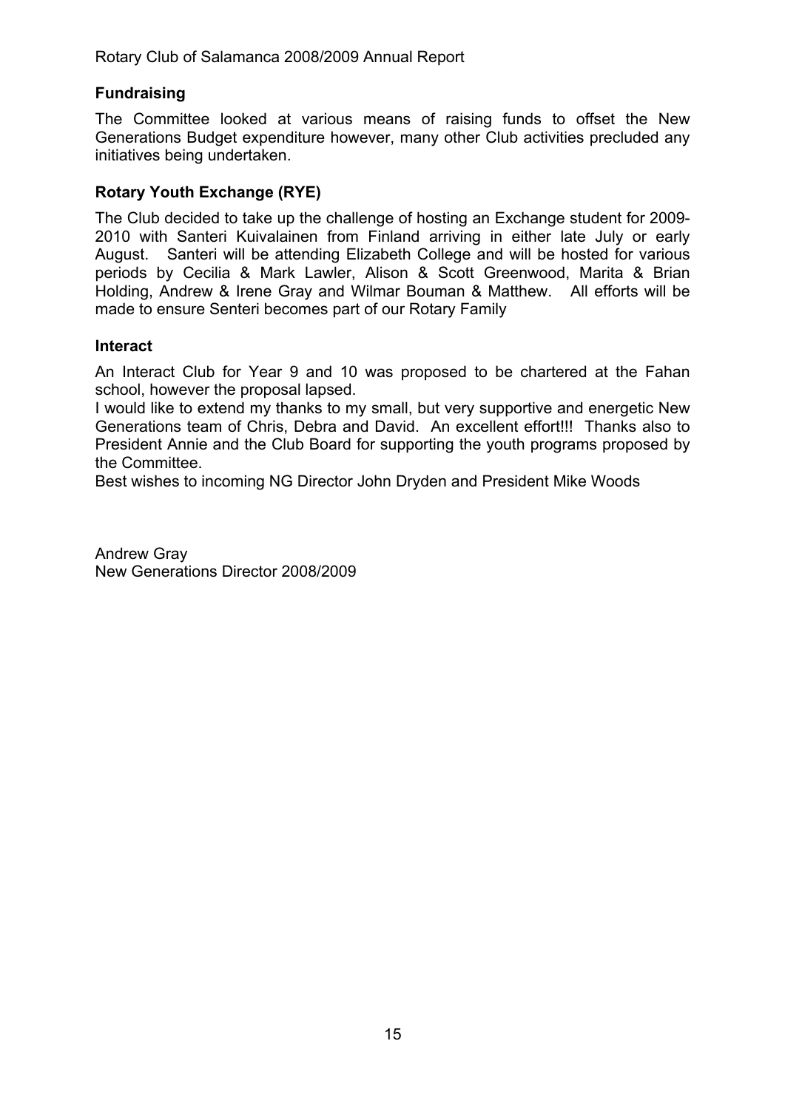### **Fundraising**

The Committee looked at various means of raising funds to offset the New Generations Budget expenditure however, many other Club activities precluded any initiatives being undertaken.

### **Rotary Youth Exchange (RYE)**

The Club decided to take up the challenge of hosting an Exchange student for 2009- 2010 with Santeri Kuivalainen from Finland arriving in either late July or early August. Santeri will be attending Elizabeth College and will be hosted for various periods by Cecilia & Mark Lawler, Alison & Scott Greenwood, Marita & Brian Holding, Andrew & Irene Gray and Wilmar Bouman & Matthew. All efforts will be made to ensure Senteri becomes part of our Rotary Family

#### **Interact**

An Interact Club for Year 9 and 10 was proposed to be chartered at the Fahan school, however the proposal lapsed.

I would like to extend my thanks to my small, but very supportive and energetic New Generations team of Chris, Debra and David. An excellent effort!!! Thanks also to President Annie and the Club Board for supporting the youth programs proposed by the Committee.

Best wishes to incoming NG Director John Dryden and President Mike Woods

Andrew Gray New Generations Director 2008/2009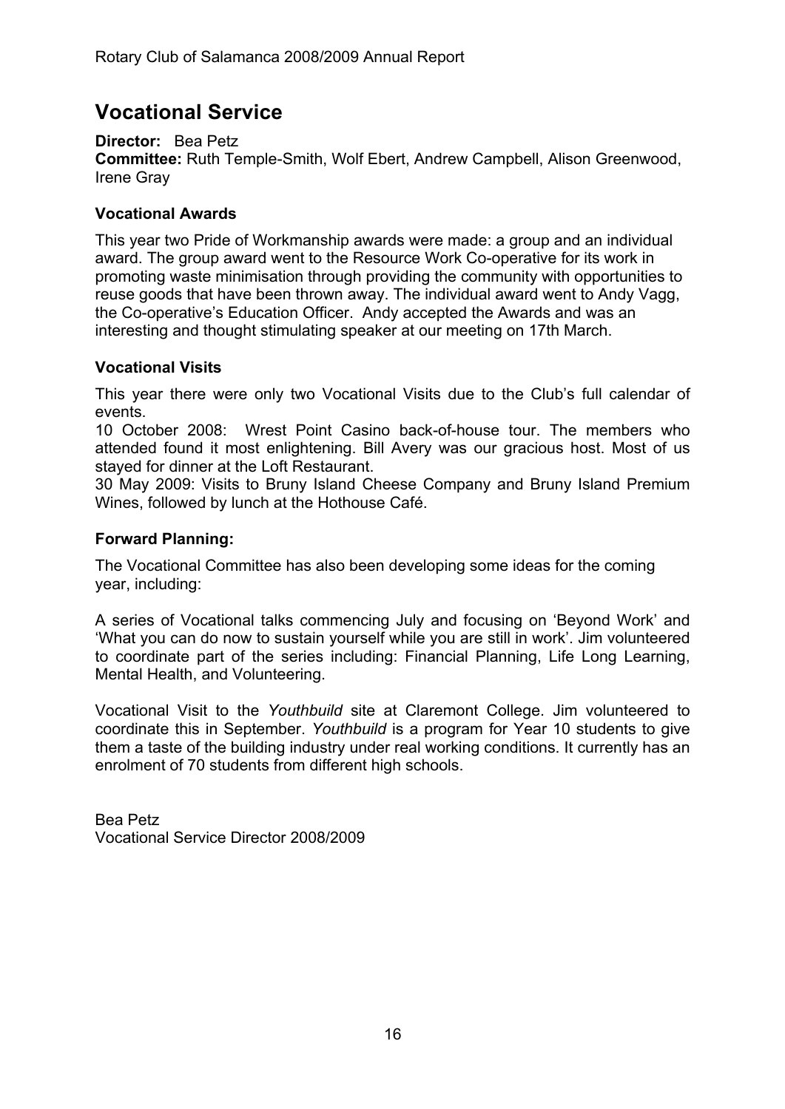# **Vocational Service**

**Director:** Bea Petz **Committee:** Ruth Temple-Smith, Wolf Ebert, Andrew Campbell, Alison Greenwood, Irene Gray

# **Vocational Awards**

This year two Pride of Workmanship awards were made: a group and an individual award. The group award went to the Resource Work Co-operative for its work in promoting waste minimisation through providing the community with opportunities to reuse goods that have been thrown away. The individual award went to Andy Vagg, the Co-operative's Education Officer. Andy accepted the Awards and was an interesting and thought stimulating speaker at our meeting on 17th March.

# **Vocational Visits**

This year there were only two Vocational Visits due to the Club's full calendar of events.

10 October 2008: Wrest Point Casino back-of-house tour. The members who attended found it most enlightening. Bill Avery was our gracious host. Most of us stayed for dinner at the Loft Restaurant.

30 May 2009: Visits to Bruny Island Cheese Company and Bruny Island Premium Wines, followed by lunch at the Hothouse Café.

# **Forward Planning:**

The Vocational Committee has also been developing some ideas for the coming year, including:

A series of Vocational talks commencing July and focusing on 'Beyond Work' and 'What you can do now to sustain yourself while you are still in work'. Jim volunteered to coordinate part of the series including: Financial Planning, Life Long Learning, Mental Health, and Volunteering.

Vocational Visit to the *Youthbuild* site at Claremont College. Jim volunteered to coordinate this in September. *Youthbuild* is a program for Year 10 students to give them a taste of the building industry under real working conditions. It currently has an enrolment of 70 students from different high schools.

Bea Petz Vocational Service Director 2008/2009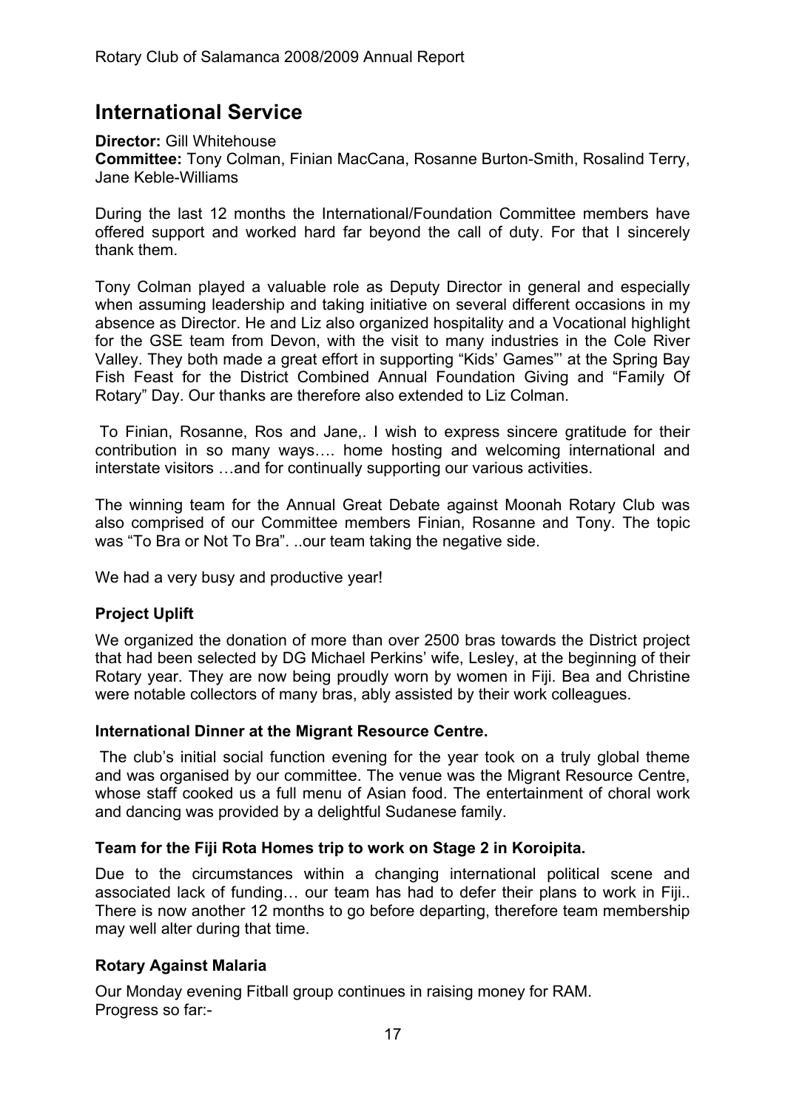# **International Service**

**Director:** Gill Whitehouse

**Committee:** Tony Colman, Finian MacCana, Rosanne Burton-Smith, Rosalind Terry, Jane Keble-Williams

During the last 12 months the International/Foundation Committee members have offered support and worked hard far beyond the call of duty. For that I sincerely thank them.

Tony Colman played a valuable role as Deputy Director in general and especially when assuming leadership and taking initiative on several different occasions in my absence as Director. He and Liz also organized hospitality and a Vocational highlight for the GSE team from Devon, with the visit to many industries in the Cole River Valley. They both made a great effort in supporting "Kids' Games"' at the Spring Bay Fish Feast for the District Combined Annual Foundation Giving and "Family Of Rotary" Day. Our thanks are therefore also extended to Liz Colman.

 To Finian, Rosanne, Ros and Jane,. I wish to express sincere gratitude for their contribution in so many ways…. home hosting and welcoming international and interstate visitors …and for continually supporting our various activities.

The winning team for the Annual Great Debate against Moonah Rotary Club was also comprised of our Committee members Finian, Rosanne and Tony. The topic was "To Bra or Not To Bra". ..our team taking the negative side.

We had a very busy and productive year!

# **Project Uplift**

We organized the donation of more than over 2500 bras towards the District project that had been selected by DG Michael Perkins' wife, Lesley, at the beginning of their Rotary year. They are now being proudly worn by women in Fiji. Bea and Christine were notable collectors of many bras, ably assisted by their work colleagues.

#### **International Dinner at the Migrant Resource Centre.**

 The club's initial social function evening for the year took on a truly global theme and was organised by our committee. The venue was the Migrant Resource Centre, whose staff cooked us a full menu of Asian food. The entertainment of choral work and dancing was provided by a delightful Sudanese family.

#### **Team for the Fiji Rota Homes trip to work on Stage 2 in Koroipita.**

Due to the circumstances within a changing international political scene and associated lack of funding… our team has had to defer their plans to work in Fiji.. There is now another 12 months to go before departing, therefore team membership may well alter during that time.

#### **Rotary Against Malaria**

Our Monday evening Fitball group continues in raising money for RAM. Progress so far:-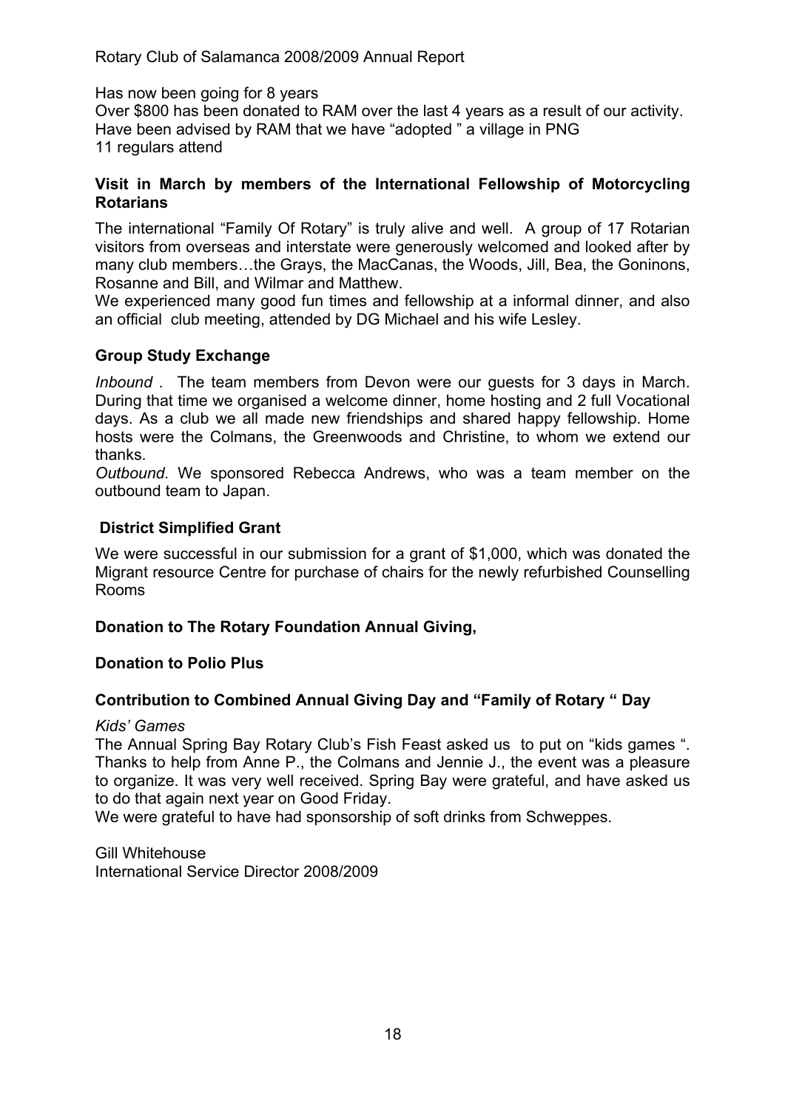#### Has now been going for 8 years

Over \$800 has been donated to RAM over the last 4 years as a result of our activity. Have been advised by RAM that we have "adopted " a village in PNG 11 regulars attend

#### **Visit in March by members of the International Fellowship of Motorcycling Rotarians**

The international "Family Of Rotary" is truly alive and well. A group of 17 Rotarian visitors from overseas and interstate were generously welcomed and looked after by many club members…the Grays, the MacCanas, the Woods, Jill, Bea, the Goninons, Rosanne and Bill, and Wilmar and Matthew.

We experienced many good fun times and fellowship at a informal dinner, and also an official club meeting, attended by DG Michael and his wife Lesley.

### **Group Study Exchange**

*Inbound .* The team members from Devon were our guests for 3 days in March. During that time we organised a welcome dinner, home hosting and 2 full Vocational days. As a club we all made new friendships and shared happy fellowship. Home hosts were the Colmans, the Greenwoods and Christine, to whom we extend our thanks.

*Outbound.* We sponsored Rebecca Andrews, who was a team member on the outbound team to Japan.

### **District Simplified Grant**

We were successful in our submission for a grant of \$1,000, which was donated the Migrant resource Centre for purchase of chairs for the newly refurbished Counselling Rooms

#### **Donation to The Rotary Foundation Annual Giving,**

#### **Donation to Polio Plus**

# **Contribution to Combined Annual Giving Day and "Family of Rotary " Day**

#### *Kids' Games*

The Annual Spring Bay Rotary Club's Fish Feast asked us to put on "kids games ". Thanks to help from Anne P., the Colmans and Jennie J., the event was a pleasure to organize. It was very well received. Spring Bay were grateful, and have asked us to do that again next year on Good Friday.

We were grateful to have had sponsorship of soft drinks from Schweppes.

Gill Whitehouse International Service Director 2008/2009